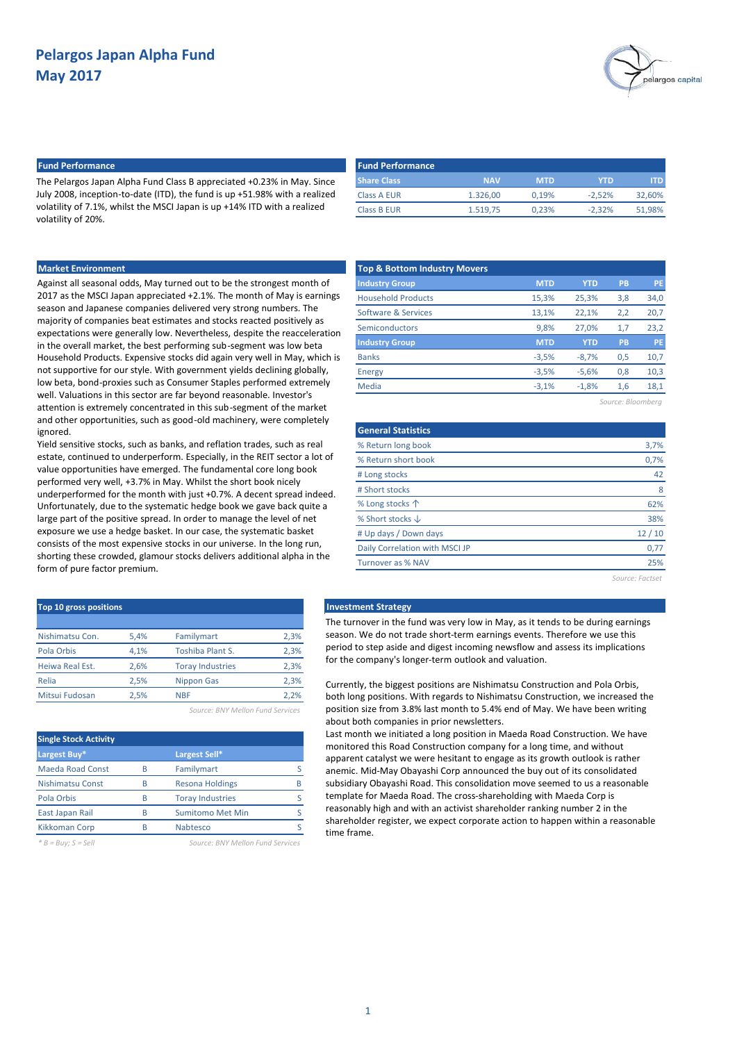

## **Fund Performance Fund Performance**

The Pelargos Japan Alpha Fund Class B appreciated +0.23% in May. Since July 2008, inception-to-date (ITD), the fund is up +51.98% with a realized volatility of 7.1%, whilst the MSCI Japan is up +14% ITD with a realized volatility of 20%.

| <b>NAV</b> | <b>MTD</b> | YTD      | ITD.   |
|------------|------------|----------|--------|
| 1.326.00   | 0.19%      | $-2.52%$ | 32.60% |
| 1.519.75   | 0.23%      | $-2.32%$ | 51.98% |
|            |            |          |        |

### **Market Environment**

Against all seasonal odds, May turned out to be the strongest month of 2017 as the MSCI Japan appreciated +2.1%. The month of May is earnings season and Japanese companies delivered very strong numbers. The majority of companies beat estimates and stocks reacted positively as expectations were generally low. Nevertheless, despite the reacceleration in the overall market, the best performing sub-segment was low beta Household Products. Expensive stocks did again very well in May, which is not supportive for our style. With government yields declining globally, low beta, bond-proxies such as Consumer Staples performed extremely well. Valuations in this sector are far beyond reasonable. Investor's attention is extremely concentrated in this sub-segment of the market and other opportunities, such as good-old machinery, were completely ignored.

Yield sensitive stocks, such as banks, and reflation trades, such as real estate, continued to underperform. Especially, in the REIT sector a lot of value opportunities have emerged. The fundamental core long book performed very well, +3.7% in May. Whilst the short book nicely underperformed for the month with just +0.7%. A decent spread indeed. Unfortunately, due to the systematic hedge book we gave back quite a large part of the positive spread. In order to manage the level of net exposure we use a hedge basket. In our case, the systematic basket consists of the most expensive stocks in our universe. In the long run, shorting these crowded, glamour stocks delivers additional alpha in the form of pure factor premium.

| Top 10 gross positions |      |                         |      |
|------------------------|------|-------------------------|------|
| Nishimatsu Con.        | 5.4% | Familymart              | 2,3% |
| Pola Orbis             | 4.1% | <b>Toshiba Plant S.</b> | 2,3% |
| Heiwa Real Est.        | 2.6% | <b>Toray Industries</b> | 2,3% |
| Relia                  | 2.5% | Nippon Gas              | 2,3% |
| Mitsui Fudosan         | 2.5% | <b>NBF</b>              | 2.2% |
|                        |      |                         |      |

*Source: BNY Mellon Fund Services*

| <b>Single Stock Activity</b> |   |                         |  |
|------------------------------|---|-------------------------|--|
| Largest Buy*                 |   | Largest Sell*           |  |
| <b>Maeda Road Const</b>      | R | Familymart              |  |
| <b>Nishimatsu Const</b>      | B | <b>Resona Holdings</b>  |  |
| Pola Orbis                   | B | <b>Toray Industries</b> |  |
| East Japan Rail              | R | <b>Sumitomo Met Min</b> |  |
| <b>Kikkoman Corp</b>         |   | Nabtesco                |  |

*\* B = Buy; S = Sell Source: BNY Mellon Fund Services*

| <b>Top &amp; Bottom Industry Movers</b> |            |            |     |           |
|-----------------------------------------|------------|------------|-----|-----------|
| <b>Industry Group</b>                   | <b>MTD</b> | <b>YTD</b> | PB  | <b>PE</b> |
| <b>Household Products</b>               | 15,3%      | 25,3%      | 3,8 | 34,0      |
| Software & Services                     | 13,1%      | 22,1%      | 2,2 | 20,7      |
| Semiconductors                          | 9,8%       | 27.0%      | 1,7 | 23,2      |
| <b>Industry Group</b>                   | <b>MTD</b> | <b>YTD</b> | PB  | <b>PE</b> |
| <b>Banks</b>                            | $-3,5%$    | $-8.7%$    | 0,5 | 10,7      |
| Energy                                  | $-3,5%$    | $-5,6%$    | 0,8 | 10,3      |
| Media                                   | $-3.1%$    | $-1,8%$    | 1,6 | 18,1      |
|                                         |            |            |     |           |

*Source: Bloomberg*

| <b>General Statistics</b>      |                 |
|--------------------------------|-----------------|
| % Return long book             | 3,7%            |
| % Return short book            | 0,7%            |
| # Long stocks                  | 42              |
| # Short stocks                 | 8               |
| % Long stocks 个                | 62%             |
| % Short stocks $\downarrow$    | 38%             |
| # Up days / Down days          | 12/10           |
| Daily Correlation with MSCI JP | 0,77            |
| Turnover as % NAV              | 25%             |
|                                | Source: Factset |

#### **Investment Strategy**

The turnover in the fund was very low in May, as it tends to be during earnings season. We do not trade short-term earnings events. Therefore we use this period to step aside and digest incoming newsflow and assess its implications for the company's longer-term outlook and valuation.

Currently, the biggest positions are Nishimatsu Construction and Pola Orbis, both long positions. With regards to Nishimatsu Construction, we increased the position size from 3.8% last month to 5.4% end of May. We have been writing about both companies in prior newsletters.

Last month we initiated a long position in Maeda Road Construction. We have monitored this Road Construction company for a long time, and without apparent catalyst we were hesitant to engage as its growth outlook is rather anemic. Mid-May Obayashi Corp announced the buy out of its consolidated subsidiary Obayashi Road. This consolidation move seemed to us a reasonable template for Maeda Road. The cross-shareholding with Maeda Corp is reasonably high and with an activist shareholder ranking number 2 in the shareholder register, we expect corporate action to happen within a reasonable time frame.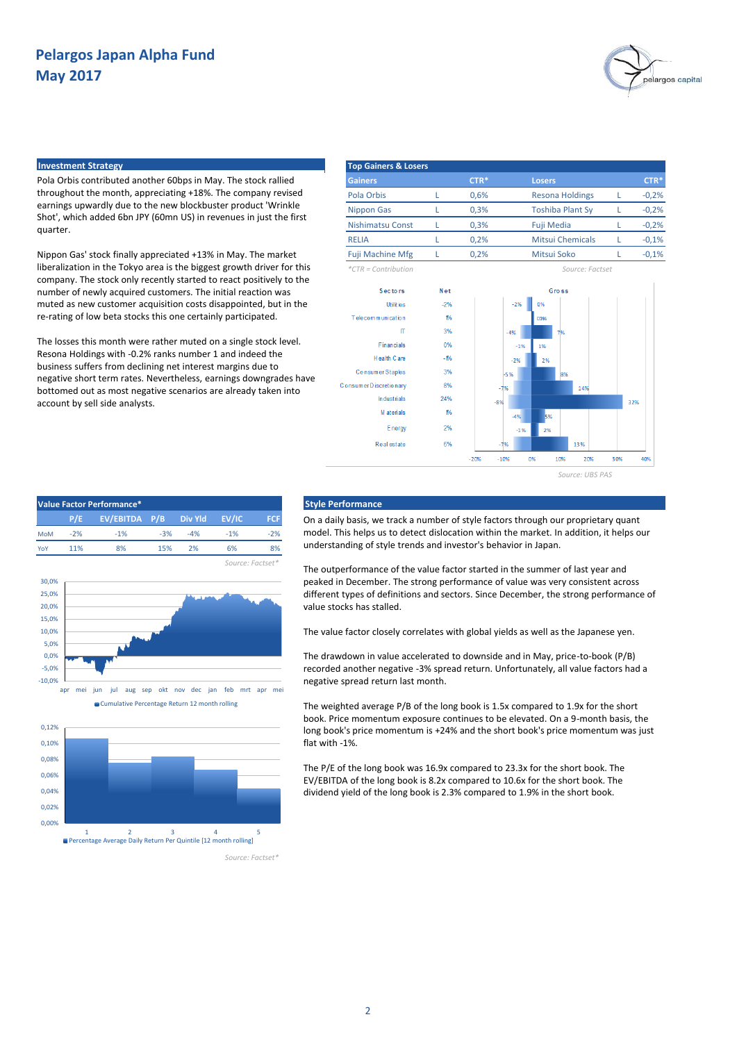

### **Investment Strategy**

Pola Orbis contributed another 60bps in May. The stock rallied throughout the month, appreciating +18%. The company revised earnings upwardly due to the new blockbuster product 'Wrinkle Shot', which added 6bn JPY (60mn US) in revenues in just the first quarter.

Nippon Gas' stock finally appreciated +13% in May. The market liberalization in the Tokyo area is the biggest growth driver for this company. The stock only recently started to react positively to the number of newly acquired customers. The initial reaction was muted as new customer acquisition costs disappointed, but in the re-rating of low beta stocks this one certainly participated.

The losses this month were rather muted on a single stock level. Resona Holdings with -0.2% ranks number 1 and indeed the business suffers from declining net interest margins due to negative short term rates. Nevertheless, earnings downgrades have bottomed out as most negative scenarios are already taken into account by sell side analysts.

| <b>Top Gainers &amp; Losers</b> |        |                         |         |
|---------------------------------|--------|-------------------------|---------|
| <b>Gainers</b>                  | $CTR*$ | <b>Losers</b>           | $CTR*$  |
| Pola Orbis                      | 0,6%   | <b>Resona Holdings</b>  | $-0,2%$ |
| <b>Nippon Gas</b>               | 0.3%   | <b>Toshiba Plant Sy</b> | $-0,2%$ |
| Nishimatsu Const                | 0.3%   | Fuji Media              | $-0,2%$ |
| <b>RELIA</b>                    | 0.2%   | <b>Mitsui Chemicals</b> | $-0,1%$ |
| <b>Fuji Machine Mfg</b>         | 0.2%   | Mitsui Soko             | $-0,1%$ |

*\*CTR = Contribution Source: Factset*





#### **P/E P/B FCF EV/EBITDA Div Yld EV/IC** MoM -2% -1% -3% -2% YoY 11% 8% 15% 8% *Source: Factset\** 2%  $-1$ % 6% -4% -5,0% 0,0% 5,0% 10,0% 15,0% 20,0% 25,0% 30,0%



-10,0%



### **Value Factor Performance\* Style Performance**

On a daily basis, we track a number of style factors through our proprietary quant model. This helps us to detect dislocation within the market. In addition, it helps our understanding of style trends and investor's behavior in Japan.

The outperformance of the value factor started in the summer of last year and peaked in December. The strong performance of value was very consistent across different types of definitions and sectors. Since December, the strong performance of value stocks has stalled.

The value factor closely correlates with global yields as well as the Japanese yen.

The drawdown in value accelerated to downside and in May, price-to-book (P/B) recorded another negative -3% spread return. Unfortunately, all value factors had a negative spread return last month.

The weighted average P/B of the long book is 1.5x compared to 1.9x for the short book. Price momentum exposure continues to be elevated. On a 9-month basis, the long book's price momentum is +24% and the short book's price momentum was just flat with -1%.

The P/E of the long book was 16.9x compared to 23.3x for the short book. The EV/EBITDA of the long book is 8.2x compared to 10.6x for the short book. The dividend yield of the long book is 2.3% compared to 1.9% in the short book.

*Source: Factset\**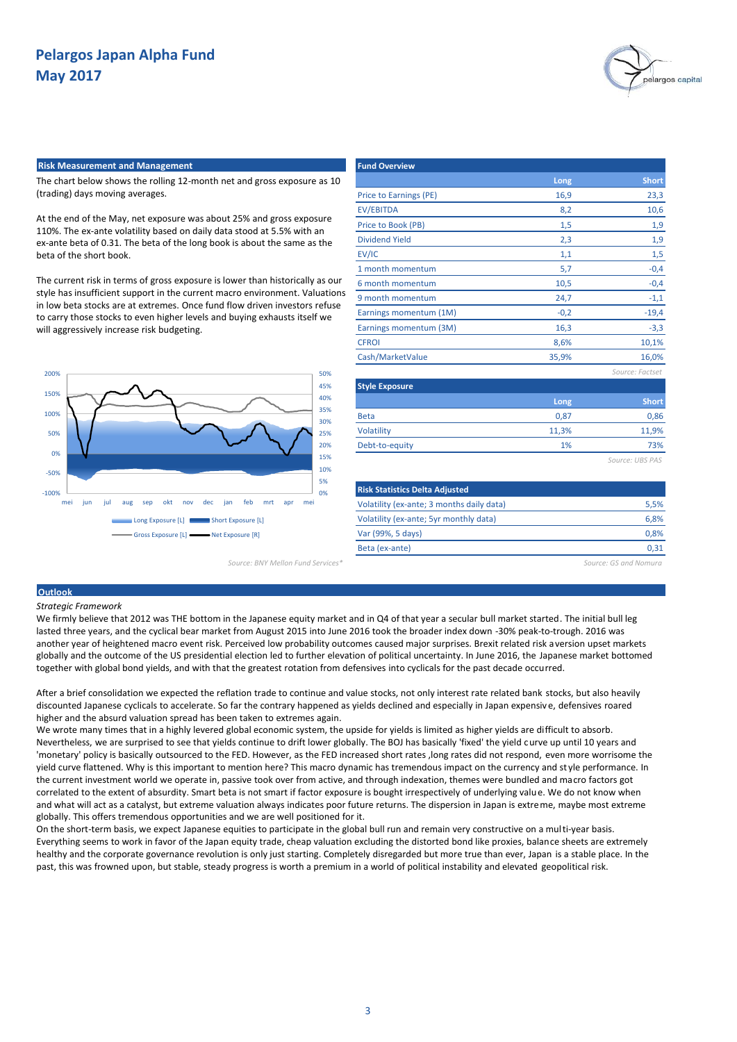

#### **Risk Measurement and Management Fund Overview Fund Overview**

The chart below shows the rolling 12-month net and gross exposure as 10 (trading) days moving averages.

At the end of the May, net exposure was about 25% and gross exposure 110%. The ex-ante volatility based on daily data stood at 5.5% with an ex-ante beta of 0.31. The beta of the long book is about the same as the beta of the short book.

The current risk in terms of gross exposure is lower than historically as our style has insufficient support in the current macro environment. Valuations in low beta stocks are at extremes. Once fund flow driven investors refuse to carry those stocks to even higher levels and buying exhausts itself we will aggressively increase risk budgeting.



|                                           | Long   | <b>Short</b>    |
|-------------------------------------------|--------|-----------------|
| <b>Price to Earnings (PE)</b>             | 16,9   | 23,3            |
| <b>EV/EBITDA</b>                          | 8,2    | 10,6            |
| Price to Book (PB)                        | 1,5    | 1,9             |
| <b>Dividend Yield</b>                     | 2,3    | 1,9             |
| EV/IC                                     | 1,1    | 1,5             |
| 1 month momentum                          | 5,7    | $-0,4$          |
| 6 month momentum                          | 10,5   | $-0,4$          |
| 9 month momentum                          | 24,7   | $-1,1$          |
| Earnings momentum (1M)                    | $-0,2$ | $-19,4$         |
| Earnings momentum (3M)                    | 16,3   | $-3,3$          |
| <b>CFROI</b>                              | 8,6%   | 10,1%           |
| Cash/MarketValue                          | 35,9%  | 16,0%           |
|                                           |        | Source: Factset |
| <b>Style Exposure</b>                     |        |                 |
|                                           | Long   | <b>Short</b>    |
| <b>Beta</b>                               | 0,87   | 0,86            |
| Volatility                                | 11,3%  | 11,9%           |
| Debt-to-equity                            | 1%     | 73%             |
|                                           |        | Source: UBS PAS |
| <b>Risk Statistics Delta Adjusted</b>     |        |                 |
| Volatility (ex-ante; 3 months daily data) |        | 5,5%            |

*Source: BNY Mellon Fund Services\* Source: GS and Nomura*

0,31

6,8% 0,8%

## **Outlook** *Strategic Framework*

We firmly believe that 2012 was THE bottom in the Japanese equity market and in Q4 of that year a secular bull market started. The initial bull leg lasted three years, and the cyclical bear market from August 2015 into June 2016 took the broader index down -30% peak-to-trough. 2016 was another year of heightened macro event risk. Perceived low probability outcomes caused major surprises. Brexit related risk aversion upset markets globally and the outcome of the US presidential election led to further elevation of political uncertainty. In June 2016, the Japanese market bottomed together with global bond yields, and with that the greatest rotation from defensives into cyclicals for the past decade occurred.

Volatility (ex-ante; 5yr monthly data)

Var (99%, 5 days) Beta (ex-ante)

After a brief consolidation we expected the reflation trade to continue and value stocks, not only interest rate related bank stocks, but also heavily discounted Japanese cyclicals to accelerate. So far the contrary happened as yields declined and especially in Japan expensiv e, defensives roared higher and the absurd valuation spread has been taken to extremes again.

We wrote many times that in a highly levered global economic system, the upside for yields is limited as higher yields are difficult to absorb. Nevertheless, we are surprised to see that yields continue to drift lower globally. The BOJ has basically 'fixed' the yield curve up until 10 years and 'monetary' policy is basically outsourced to the FED. However, as the FED increased short rates ,long rates did not respond, even more worrisome the yield curve flattened. Why is this important to mention here? This macro dynamic has tremendous impact on the currency and st yle performance. In the current investment world we operate in, passive took over from active, and through indexation, themes were bundled and macro factors got correlated to the extent of absurdity. Smart beta is not smart if factor exposure is bought irrespectively of underlying value. We do not know when and what will act as a catalyst, but extreme valuation always indicates poor future returns. The dispersion in Japan is extreme, maybe most extreme globally. This offers tremendous opportunities and we are well positioned for it.

On the short-term basis, we expect Japanese equities to participate in the global bull run and remain very constructive on a multi-year basis. Everything seems to work in favor of the Japan equity trade, cheap valuation excluding the distorted bond like proxies, balance sheets are extremely healthy and the corporate governance revolution is only just starting. Completely disregarded but more true than ever, Japan is a stable place. In the past, this was frowned upon, but stable, steady progress is worth a premium in a world of political instability and elevated geopolitical risk.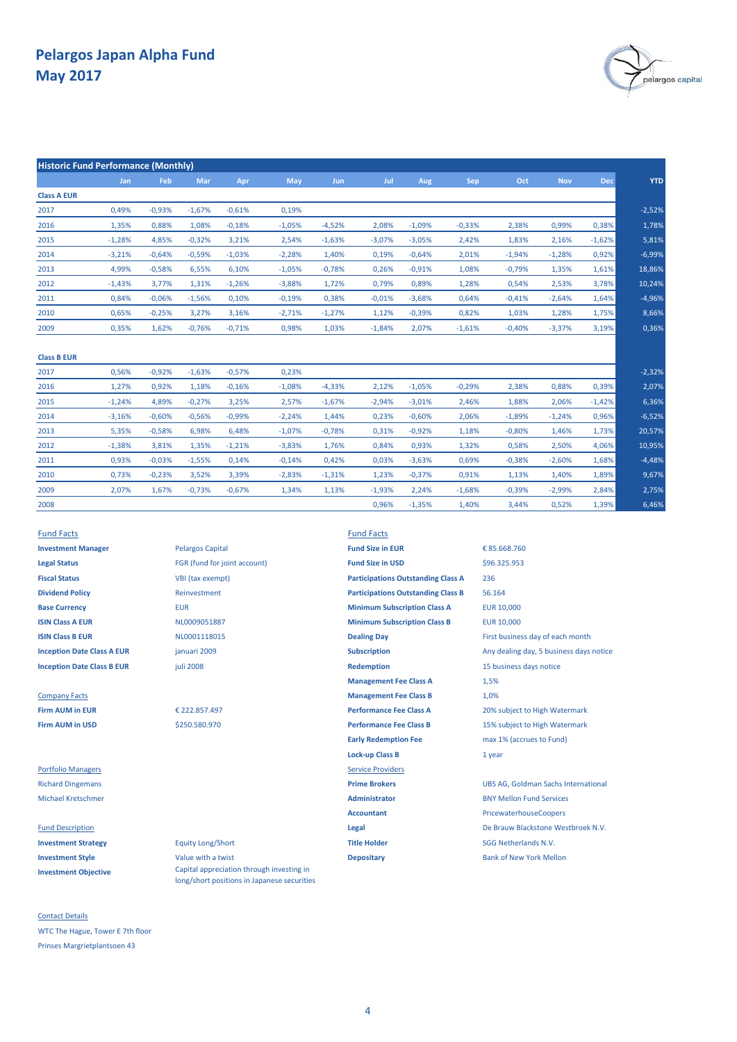

2,75% 6,46%

-4,48%

1,89% 9,67%

1,68%

| <b>Historic Fund Performance (Monthly)</b> |          |          |          |          |            |          |          |          |          |          |            |            |            |
|--------------------------------------------|----------|----------|----------|----------|------------|----------|----------|----------|----------|----------|------------|------------|------------|
|                                            | Jan      | Feb      | Mar      | Apr      | <b>May</b> | Jun      | Jul      | Aug      | Sep      | Oct      | <b>Nov</b> | <b>Dec</b> | <b>YTD</b> |
| <b>Class A EUR</b>                         |          |          |          |          |            |          |          |          |          |          |            |            |            |
| 2017                                       | 0.49%    | $-0.93%$ | $-1.67%$ | $-0.61%$ | 0.19%      |          |          |          |          |          |            |            | $-2,52%$   |
| 2016                                       | 1,35%    | 0,88%    | 1,08%    | $-0,18%$ | $-1,05%$   | $-4,52%$ | 2,08%    | $-1,09%$ | $-0,33%$ | 2,38%    | 0,99%      | 0,38%      | 1,78%      |
| 2015                                       | $-1,28%$ | 4,85%    | $-0,32%$ | 3,21%    | 2,54%      | $-1,63%$ | $-3,07%$ | $-3,05%$ | 2,42%    | 1,83%    | 2,16%      | $-1,62%$   | 5,81%      |
| 2014                                       | $-3,21%$ | $-0,64%$ | $-0,59%$ | $-1,03%$ | $-2,28%$   | 1,40%    | 0,19%    | $-0,64%$ | 2,01%    | $-1,94%$ | $-1,28%$   | 0,92%      | $-6,99%$   |
| 2013                                       | 4,99%    | $-0,58%$ | 6,55%    | 6,10%    | $-1,05%$   | $-0,78%$ | 0,26%    | $-0,91%$ | 1,08%    | $-0,79%$ | 1,35%      | 1,61%      | 18,86%     |
| 2012                                       | $-1,43%$ | 3,77%    | 1,31%    | $-1,26%$ | $-3,88%$   | 1,72%    | 0,79%    | 0,89%    | 1,28%    | 0,54%    | 2,53%      | 3,78%      | 10,24%     |
| 2011                                       | 0,84%    | $-0,06%$ | $-1,56%$ | 0,10%    | $-0,19%$   | 0,38%    | $-0,01%$ | $-3,68%$ | 0,64%    | $-0,41%$ | $-2,64%$   | 1,64%      | $-4,96%$   |
| 2010                                       | 0,65%    | $-0,25%$ | 3,27%    | 3,16%    | $-2,71%$   | $-1,27%$ | 1,12%    | $-0,39%$ | 0,82%    | 1,03%    | 1,28%      | 1,75%      | 8,66%      |
| 2009                                       | 0,35%    | 1,62%    | $-0,76%$ | $-0,71%$ | 0,98%      | 1,03%    | $-1,84%$ | 2,07%    | $-1,61%$ | $-0,40%$ | $-3,37%$   | 3,19%      | 0,36%      |
| <b>Class B EUR</b>                         |          |          |          |          |            |          |          |          |          |          |            |            |            |
| 2017                                       | 0,56%    | $-0,92%$ | $-1,63%$ | $-0,57%$ | 0,23%      |          |          |          |          |          |            |            | $-2,32%$   |
| 2016                                       | 1,27%    | 0,92%    | 1,18%    | $-0,16%$ | $-1,08%$   | $-4,33%$ | 2,12%    | $-1,05%$ | $-0,29%$ | 2,38%    | 0,88%      | 0,39%      | 2,07%      |
| 2015                                       | $-1,24%$ | 4.89%    | $-0,27%$ | 3,25%    | 2,57%      | $-1,67%$ | $-2,94%$ | $-3,01%$ | 2,46%    | 1,88%    | 2,06%      | $-1,42%$   | 6,36%      |
| 2014                                       | $-3,16%$ | $-0,60%$ | $-0,56%$ | $-0,99%$ | $-2,24%$   | 1,44%    | 0,23%    | $-0,60%$ | 2,06%    | $-1,89%$ | $-1,24%$   | 0,96%      | $-6,52%$   |
| 2013                                       | 5,35%    | $-0,58%$ | 6,98%    | 6,48%    | $-1,07%$   | $-0,78%$ | 0,31%    | $-0,92%$ | 1,18%    | $-0,80%$ | 1,46%      | 1,73%      | 20,57%     |
| 2012                                       | $-1,38%$ | 3,81%    | 1,35%    | $-1,21%$ | $-3,83%$   | 1,76%    | 0,84%    | 0,93%    | 1,32%    | 0,58%    | 2,50%      | 4,06%      | 10,95%     |

0,14% -0,14% 0,42% 0,03% -3,63%

1,13%

-0,23% 3,52% 3,39% 1,13%

2009 2,84%

-0,73% -0,67% 1,34% -1,93% 2,24%

-0,14%

-0,03% -1,55% 0,42%

0,03%

-2,83% -1,31% 1,23% -0,37% 0,91%

| <b>Fund Facts</b>                 |
|-----------------------------------|
| <b>Investment Manager</b>         |
| <b>Legal Status</b>               |
| <b>Fiscal Status</b>              |
| <b>Dividend Policy</b>            |
| <b>Base Currency</b>              |
| <b>ISIN Class A EUR</b>           |
| ISIN Class B FUR                  |
| <b>Inception Date Class A EUR</b> |

2,07% 0,73%

0,93%

1,67%

2011

2010

2008

**Investment Objective**

Contact Details WTC The Hague, Tower E 7th floor Prinses Margrietplantsoen 43

**Investment Manager Pelargos Capital** *Fund Size in EUR* **Legal Status** FGR (fund for joint account) **Fund Size in USD VBI** (tax exempt) **Dividend Policy** Reinvestment juli 2008 januari 2009

€ 222.857.497 \$250.580.970

Capital appreciation through investing in long/short positions in Japanese securities

**Fund Facts Base Currency** EUR EUR 10,000 **Minimum Subscription Class A ISIN Class A EUR EUR ISIN CLASS A EURE A CONSUMITY OF THE CONSUMINITY OF THE CURT OF THE CURT OF THE CURT OF THE CURT OF THE CURT OF THE CURT OF THE CURT OF THE CURT OF THE CURT OF THE CURT OF THE CURT OF THE CURT OF ISIN COLLECT B EUR DEALLY CONTROL**<br>**ISIN** Dealing Day **Dealing Day** First business day of each month **Inception Date Class B EUR** *December 15* **business days notice Redemption Redemption** 15 business days notice **Management Fee Class A** Company Facts **Management Fee Class B Firm AUM in EUR Performance Fee Class A** 20% subject to High Watermark **Firm AUM in USD Same Class B Performance Fee Class B** 15% subject to High Watermark **Early Redemption Fee** max 1% (accrues to Fund) **Lock-up Class B** 1 year Portfolio Managers **Service Providers** Service Providers Michael Kretschmer **Administrator** BNY Mellon Fund Services **Accountant** PricewaterhouseCoopers Fund Description **Legal** De Brauw Blackstone Westbroek N.V. **Investment Strategy** Equity Long/Short **Title Holder** SGG Netherlands N.V. **Investment Style Investment Style Value with a twist Depositary Depositary Bank of New York Mellon Participations Outstanding Class A Participations Outstanding Class B**

**Inception Subscription** Any dealing day, 5 business days notice Richard Dingemans **Prime Brokers** UBS AG, Goldman Sachs International € 85.668.760 236 56.164 \$96.325.953 1,5% 1,0%

0,69% -0,38% -2,60%

3,44%

1,40%

-2,99% 0,52%

1,40%

-1,68% -0,39% 0,96% -1,35% 1,39%